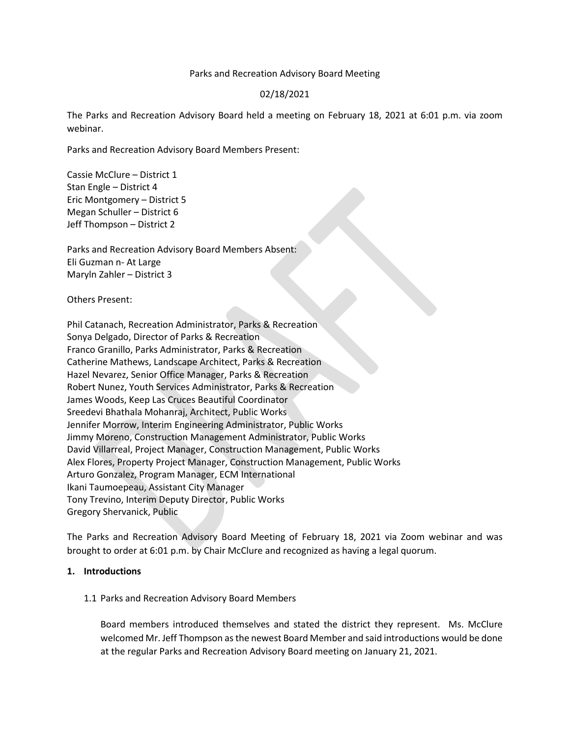#### Parks and Recreation Advisory Board Meeting

# 02/18/2021

The Parks and Recreation Advisory Board held a meeting on February 18, 2021 at 6:01 p.m. via zoom webinar.

Parks and Recreation Advisory Board Members Present:

Cassie McClure – District 1 Stan Engle – District 4 Eric Montgomery – District 5 Megan Schuller – District 6 Jeff Thompson – District 2

Parks and Recreation Advisory Board Members Absent: Eli Guzman n- At Large Maryln Zahler – District 3

Others Present:

Phil Catanach, Recreation Administrator, Parks & Recreation Sonya Delgado, Director of Parks & Recreation Franco Granillo, Parks Administrator, Parks & Recreation Catherine Mathews, Landscape Architect, Parks & Recreation Hazel Nevarez, Senior Office Manager, Parks & Recreation Robert Nunez, Youth Services Administrator, Parks & Recreation James Woods, Keep Las Cruces Beautiful Coordinator Sreedevi Bhathala Mohanraj, Architect, Public Works Jennifer Morrow, Interim Engineering Administrator, Public Works Jimmy Moreno, Construction Management Administrator, Public Works David Villarreal, Project Manager, Construction Management, Public Works Alex Flores, Property Project Manager, Construction Management, Public Works Arturo Gonzalez, Program Manager, ECM International Ikani Taumoepeau, Assistant City Manager Tony Trevino, Interim Deputy Director, Public Works Gregory Shervanick, Public

The Parks and Recreation Advisory Board Meeting of February 18, 2021 via Zoom webinar and was brought to order at 6:01 p.m. by Chair McClure and recognized as having a legal quorum.

#### **1. Introductions**

# 1.1 Parks and Recreation Advisory Board Members

Board members introduced themselves and stated the district they represent. Ms. McClure welcomed Mr. Jeff Thompson as the newest Board Member and said introductions would be done at the regular Parks and Recreation Advisory Board meeting on January 21, 2021.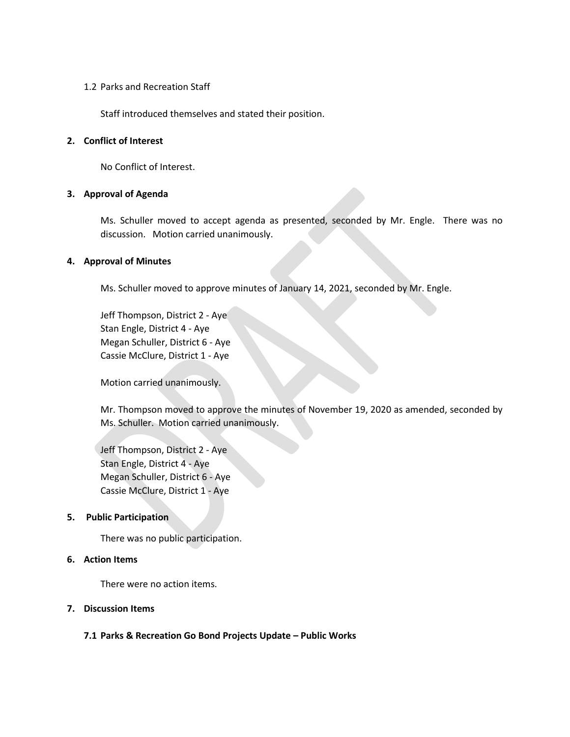## 1.2 Parks and Recreation Staff

Staff introduced themselves and stated their position.

#### **2. Conflict of Interest**

No Conflict of Interest.

## **3. Approval of Agenda**

Ms. Schuller moved to accept agenda as presented, seconded by Mr. Engle. There was no discussion. Motion carried unanimously.

## **4. Approval of Minutes**

Ms. Schuller moved to approve minutes of January 14, 2021, seconded by Mr. Engle.

Jeff Thompson, District 2 - Aye Stan Engle, District 4 - Aye Megan Schuller, District 6 - Aye Cassie McClure, District 1 - Aye

Motion carried unanimously.

Mr. Thompson moved to approve the minutes of November 19, 2020 as amended, seconded by Ms. Schuller. Motion carried unanimously.

Jeff Thompson, District 2 - Aye Stan Engle, District 4 - Aye Megan Schuller, District 6 - Aye Cassie McClure, District 1 - Aye

#### **5. Public Participation**

There was no public participation.

# **6. Action Items**

There were no action items.

## **7. Discussion Items**

# **7.1 Parks & Recreation Go Bond Projects Update – Public Works**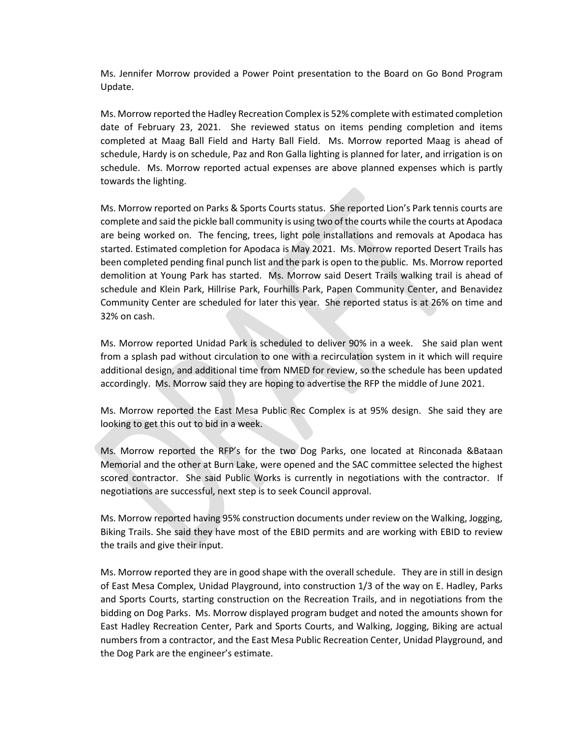Ms. Jennifer Morrow provided a Power Point presentation to the Board on Go Bond Program Update.

Ms. Morrow reported the Hadley Recreation Complex is 52% complete with estimated completion date of February 23, 2021. She reviewed status on items pending completion and items completed at Maag Ball Field and Harty Ball Field. Ms. Morrow reported Maag is ahead of schedule, Hardy is on schedule, Paz and Ron Galla lighting is planned for later, and irrigation is on schedule. Ms. Morrow reported actual expenses are above planned expenses which is partly towards the lighting.

Ms. Morrow reported on Parks & Sports Courts status. She reported Lion's Park tennis courts are complete and said the pickle ball community is using two of the courts while the courts at Apodaca are being worked on. The fencing, trees, light pole installations and removals at Apodaca has started. Estimated completion for Apodaca is May 2021. Ms. Morrow reported Desert Trails has been completed pending final punch list and the park is open to the public. Ms. Morrow reported demolition at Young Park has started. Ms. Morrow said Desert Trails walking trail is ahead of schedule and Klein Park, Hillrise Park, Fourhills Park, Papen Community Center, and Benavidez Community Center are scheduled for later this year. She reported status is at 26% on time and 32% on cash.

Ms. Morrow reported Unidad Park is scheduled to deliver 90% in a week. She said plan went from a splash pad without circulation to one with a recirculation system in it which will require additional design, and additional time from NMED for review, so the schedule has been updated accordingly. Ms. Morrow said they are hoping to advertise the RFP the middle of June 2021.

Ms. Morrow reported the East Mesa Public Rec Complex is at 95% design. She said they are looking to get this out to bid in a week.

Ms. Morrow reported the RFP's for the two Dog Parks, one located at Rinconada &Bataan Memorial and the other at Burn Lake, were opened and the SAC committee selected the highest scored contractor. She said Public Works is currently in negotiations with the contractor. If negotiations are successful, next step is to seek Council approval.

Ms. Morrow reported having 95% construction documents under review on the Walking, Jogging, Biking Trails. She said they have most of the EBID permits and are working with EBID to review the trails and give their input.

Ms. Morrow reported they are in good shape with the overall schedule. They are in still in design of East Mesa Complex, Unidad Playground, into construction 1/3 of the way on E. Hadley, Parks and Sports Courts, starting construction on the Recreation Trails, and in negotiations from the bidding on Dog Parks. Ms. Morrow displayed program budget and noted the amounts shown for East Hadley Recreation Center, Park and Sports Courts, and Walking, Jogging, Biking are actual numbers from a contractor, and the East Mesa Public Recreation Center, Unidad Playground, and the Dog Park are the engineer's estimate.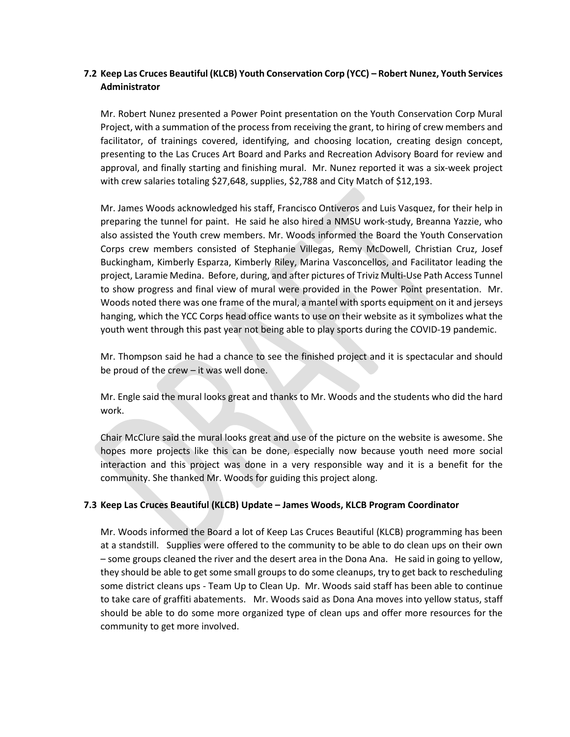# **7.2 Keep Las Cruces Beautiful (KLCB) Youth Conservation Corp (YCC) – Robert Nunez, Youth Services Administrator**

Mr. Robert Nunez presented a Power Point presentation on the Youth Conservation Corp Mural Project, with a summation of the process from receiving the grant, to hiring of crew members and facilitator, of trainings covered, identifying, and choosing location, creating design concept, presenting to the Las Cruces Art Board and Parks and Recreation Advisory Board for review and approval, and finally starting and finishing mural. Mr. Nunez reported it was a six-week project with crew salaries totaling \$27,648, supplies, \$2,788 and City Match of \$12,193.

Mr. James Woods acknowledged his staff, Francisco Ontiveros and Luis Vasquez, for their help in preparing the tunnel for paint. He said he also hired a NMSU work-study, Breanna Yazzie, who also assisted the Youth crew members. Mr. Woods informed the Board the Youth Conservation Corps crew members consisted of Stephanie Villegas, Remy McDowell, Christian Cruz, Josef Buckingham, Kimberly Esparza, Kimberly Riley, Marina Vasconcellos, and Facilitator leading the project, Laramie Medina. Before, during, and after pictures of Triviz Multi-Use Path Access Tunnel to show progress and final view of mural were provided in the Power Point presentation. Mr. Woods noted there was one frame of the mural, a mantel with sports equipment on it and jerseys hanging, which the YCC Corps head office wants to use on their website as it symbolizes what the youth went through this past year not being able to play sports during the COVID-19 pandemic.

Mr. Thompson said he had a chance to see the finished project and it is spectacular and should be proud of the crew – it was well done.

Mr. Engle said the mural looks great and thanks to Mr. Woods and the students who did the hard work.

Chair McClure said the mural looks great and use of the picture on the website is awesome. She hopes more projects like this can be done, especially now because youth need more social interaction and this project was done in a very responsible way and it is a benefit for the community. She thanked Mr. Woods for guiding this project along.

# **7.3 Keep Las Cruces Beautiful (KLCB) Update – James Woods, KLCB Program Coordinator**

Mr. Woods informed the Board a lot of Keep Las Cruces Beautiful (KLCB) programming has been at a standstill. Supplies were offered to the community to be able to do clean ups on their own – some groups cleaned the river and the desert area in the Dona Ana. He said in going to yellow, they should be able to get some small groups to do some cleanups, try to get back to rescheduling some district cleans ups - Team Up to Clean Up. Mr. Woods said staff has been able to continue to take care of graffiti abatements. Mr. Woods said as Dona Ana moves into yellow status, staff should be able to do some more organized type of clean ups and offer more resources for the community to get more involved.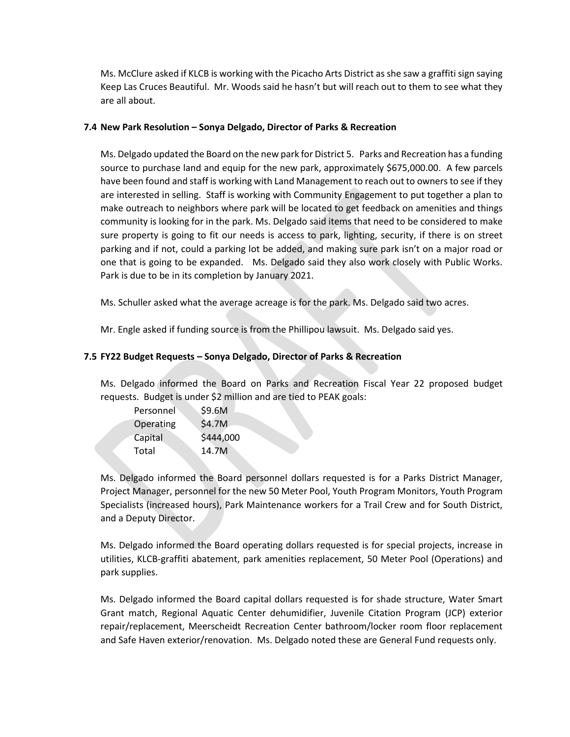Ms. McClure asked if KLCB is working with the Picacho Arts District as she saw a graffiti sign saying Keep Las Cruces Beautiful. Mr. Woods said he hasn't but will reach out to them to see what they are all about.

# **7.4 New Park Resolution – Sonya Delgado, Director of Parks & Recreation**

Ms. Delgado updated the Board on the new park for District 5. Parks and Recreation has a funding source to purchase land and equip for the new park, approximately \$675,000.00. A few parcels have been found and staff is working with Land Management to reach out to owners to see if they are interested in selling. Staff is working with Community Engagement to put together a plan to make outreach to neighbors where park will be located to get feedback on amenities and things community is looking for in the park. Ms. Delgado said items that need to be considered to make sure property is going to fit our needs is access to park, lighting, security, if there is on street parking and if not, could a parking lot be added, and making sure park isn't on a major road or one that is going to be expanded. Ms. Delgado said they also work closely with Public Works. Park is due to be in its completion by January 2021.

Ms. Schuller asked what the average acreage is for the park. Ms. Delgado said two acres.

Mr. Engle asked if funding source is from the Phillipou lawsuit. Ms. Delgado said yes.

# **7.5 FY22 Budget Requests – Sonya Delgado, Director of Parks & Recreation**

Ms. Delgado informed the Board on Parks and Recreation Fiscal Year 22 proposed budget requests. Budget is under \$2 million and are tied to PEAK goals:

| Personnel | \$9.6M    |
|-----------|-----------|
| Operating | \$4.7M    |
| Capital   | \$444,000 |
| Total     | 14.7M     |
|           |           |

Ms. Delgado informed the Board personnel dollars requested is for a Parks District Manager, Project Manager, personnel for the new 50 Meter Pool, Youth Program Monitors, Youth Program Specialists (increased hours), Park Maintenance workers for a Trail Crew and for South District, and a Deputy Director.

Ms. Delgado informed the Board operating dollars requested is for special projects, increase in utilities, KLCB-graffiti abatement, park amenities replacement, 50 Meter Pool (Operations) and park supplies.

Ms. Delgado informed the Board capital dollars requested is for shade structure, Water Smart Grant match, Regional Aquatic Center dehumidifier, Juvenile Citation Program (JCP) exterior repair/replacement, Meerscheidt Recreation Center bathroom/locker room floor replacement and Safe Haven exterior/renovation. Ms. Delgado noted these are General Fund requests only.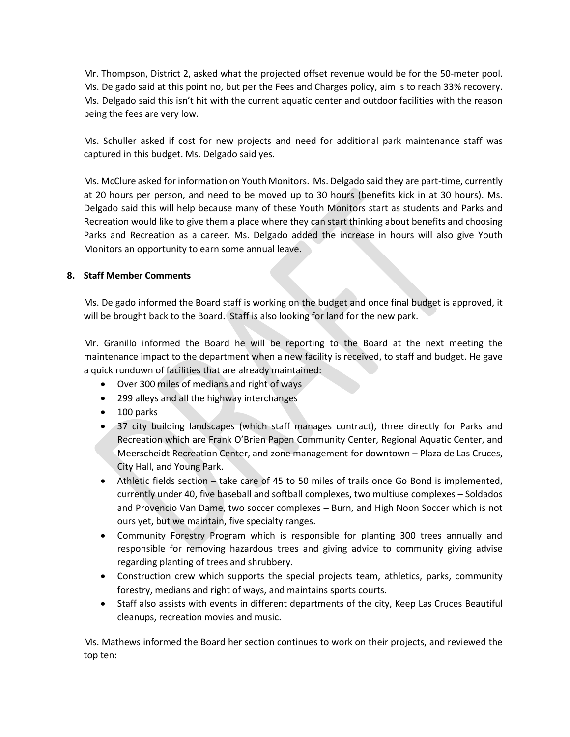Mr. Thompson, District 2, asked what the projected offset revenue would be for the 50-meter pool. Ms. Delgado said at this point no, but per the Fees and Charges policy, aim is to reach 33% recovery. Ms. Delgado said this isn't hit with the current aquatic center and outdoor facilities with the reason being the fees are very low.

Ms. Schuller asked if cost for new projects and need for additional park maintenance staff was captured in this budget. Ms. Delgado said yes.

Ms. McClure asked for information on Youth Monitors. Ms. Delgado said they are part-time, currently at 20 hours per person, and need to be moved up to 30 hours (benefits kick in at 30 hours). Ms. Delgado said this will help because many of these Youth Monitors start as students and Parks and Recreation would like to give them a place where they can start thinking about benefits and choosing Parks and Recreation as a career. Ms. Delgado added the increase in hours will also give Youth Monitors an opportunity to earn some annual leave.

# **8. Staff Member Comments**

Ms. Delgado informed the Board staff is working on the budget and once final budget is approved, it will be brought back to the Board. Staff is also looking for land for the new park.

Mr. Granillo informed the Board he will be reporting to the Board at the next meeting the maintenance impact to the department when a new facility is received, to staff and budget. He gave a quick rundown of facilities that are already maintained:

- Over 300 miles of medians and right of ways
- 299 alleys and all the highway interchanges
- 100 parks
- 37 city building landscapes (which staff manages contract), three directly for Parks and Recreation which are Frank O'Brien Papen Community Center, Regional Aquatic Center, and Meerscheidt Recreation Center, and zone management for downtown – Plaza de Las Cruces, City Hall, and Young Park.
- Athletic fields section take care of 45 to 50 miles of trails once Go Bond is implemented, currently under 40, five baseball and softball complexes, two multiuse complexes – Soldados and Provencio Van Dame, two soccer complexes – Burn, and High Noon Soccer which is not ours yet, but we maintain, five specialty ranges.
- Community Forestry Program which is responsible for planting 300 trees annually and responsible for removing hazardous trees and giving advice to community giving advise regarding planting of trees and shrubbery.
- Construction crew which supports the special projects team, athletics, parks, community forestry, medians and right of ways, and maintains sports courts.
- Staff also assists with events in different departments of the city, Keep Las Cruces Beautiful cleanups, recreation movies and music.

Ms. Mathews informed the Board her section continues to work on their projects, and reviewed the top ten: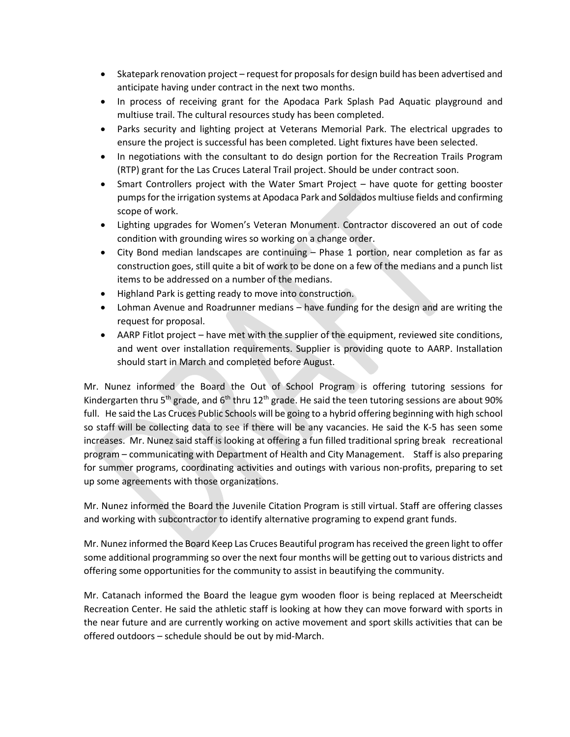- Skatepark renovation project request for proposals for design build has been advertised and anticipate having under contract in the next two months.
- In process of receiving grant for the Apodaca Park Splash Pad Aquatic playground and multiuse trail. The cultural resources study has been completed.
- Parks security and lighting project at Veterans Memorial Park. The electrical upgrades to ensure the project is successful has been completed. Light fixtures have been selected.
- In negotiations with the consultant to do design portion for the Recreation Trails Program (RTP) grant for the Las Cruces Lateral Trail project. Should be under contract soon.
- Smart Controllers project with the Water Smart Project have quote for getting booster pumps for the irrigation systems at Apodaca Park and Soldados multiuse fields and confirming scope of work.
- Lighting upgrades for Women's Veteran Monument. Contractor discovered an out of code condition with grounding wires so working on a change order.
- City Bond median landscapes are continuing Phase 1 portion, near completion as far as construction goes, still quite a bit of work to be done on a few of the medians and a punch list items to be addressed on a number of the medians.
- Highland Park is getting ready to move into construction.
- Lohman Avenue and Roadrunner medians have funding for the design and are writing the request for proposal.
- AARP Fitlot project have met with the supplier of the equipment, reviewed site conditions, and went over installation requirements. Supplier is providing quote to AARP. Installation should start in March and completed before August.

Mr. Nunez informed the Board the Out of School Program is offering tutoring sessions for Kindergarten thru 5<sup>th</sup> grade, and 6<sup>th</sup> thru 12<sup>th</sup> grade. He said the teen tutoring sessions are about 90% full. He said the Las Cruces Public Schools will be going to a hybrid offering beginning with high school so staff will be collecting data to see if there will be any vacancies. He said the K-5 has seen some increases. Mr. Nunez said staff is looking at offering a fun filled traditional spring break recreational program – communicating with Department of Health and City Management. Staff is also preparing for summer programs, coordinating activities and outings with various non-profits, preparing to set up some agreements with those organizations.

Mr. Nunez informed the Board the Juvenile Citation Program is still virtual. Staff are offering classes and working with subcontractor to identify alternative programing to expend grant funds.

Mr. Nunez informed the Board Keep Las Cruces Beautiful program has received the green light to offer some additional programming so over the next four months will be getting out to various districts and offering some opportunities for the community to assist in beautifying the community.

Mr. Catanach informed the Board the league gym wooden floor is being replaced at Meerscheidt Recreation Center. He said the athletic staff is looking at how they can move forward with sports in the near future and are currently working on active movement and sport skills activities that can be offered outdoors – schedule should be out by mid-March.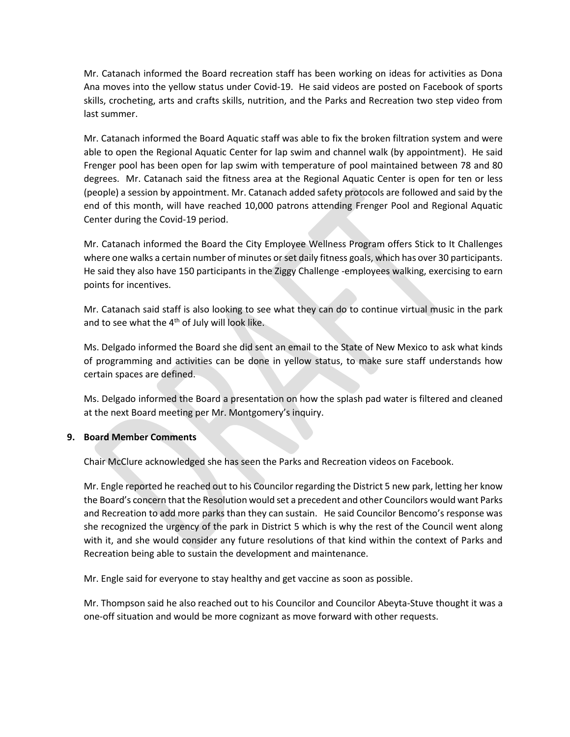Mr. Catanach informed the Board recreation staff has been working on ideas for activities as Dona Ana moves into the yellow status under Covid-19. He said videos are posted on Facebook of sports skills, crocheting, arts and crafts skills, nutrition, and the Parks and Recreation two step video from last summer.

Mr. Catanach informed the Board Aquatic staff was able to fix the broken filtration system and were able to open the Regional Aquatic Center for lap swim and channel walk (by appointment). He said Frenger pool has been open for lap swim with temperature of pool maintained between 78 and 80 degrees. Mr. Catanach said the fitness area at the Regional Aquatic Center is open for ten or less (people) a session by appointment. Mr. Catanach added safety protocols are followed and said by the end of this month, will have reached 10,000 patrons attending Frenger Pool and Regional Aquatic Center during the Covid-19 period.

Mr. Catanach informed the Board the City Employee Wellness Program offers Stick to It Challenges where one walks a certain number of minutes or set daily fitness goals, which has over 30 participants. He said they also have 150 participants in the Ziggy Challenge -employees walking, exercising to earn points for incentives.

Mr. Catanach said staff is also looking to see what they can do to continue virtual music in the park and to see what the 4<sup>th</sup> of July will look like.

Ms. Delgado informed the Board she did sent an email to the State of New Mexico to ask what kinds of programming and activities can be done in yellow status, to make sure staff understands how certain spaces are defined.

Ms. Delgado informed the Board a presentation on how the splash pad water is filtered and cleaned at the next Board meeting per Mr. Montgomery's inquiry.

# **9. Board Member Comments**

Chair McClure acknowledged she has seen the Parks and Recreation videos on Facebook.

Mr. Engle reported he reached out to his Councilor regarding the District 5 new park, letting her know the Board's concern that the Resolution would set a precedent and other Councilors would want Parks and Recreation to add more parks than they can sustain. He said Councilor Bencomo's response was she recognized the urgency of the park in District 5 which is why the rest of the Council went along with it, and she would consider any future resolutions of that kind within the context of Parks and Recreation being able to sustain the development and maintenance.

Mr. Engle said for everyone to stay healthy and get vaccine as soon as possible.

Mr. Thompson said he also reached out to his Councilor and Councilor Abeyta-Stuve thought it was a one-off situation and would be more cognizant as move forward with other requests.